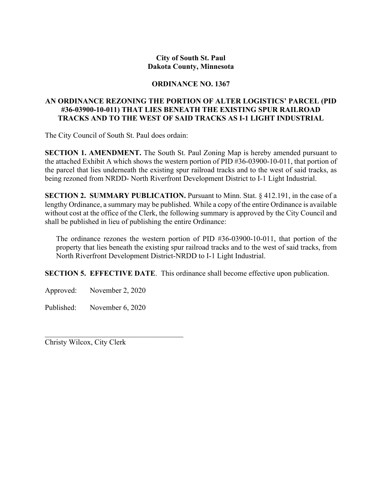## **City of South St. Paul Dakota County, Minnesota**

## **ORDINANCE NO. 1367**

## **AN ORDINANCE REZONING THE PORTION OF ALTER LOGISTICS' PARCEL (PID #36-03900-10-011) THAT LIES BENEATH THE EXISTING SPUR RAILROAD TRACKS AND TO THE WEST OF SAID TRACKS AS I-1 LIGHT INDUSTRIAL**

The City Council of South St. Paul does ordain:

**SECTION 1. AMENDMENT.** The South St. Paul Zoning Map is hereby amended pursuant to the attached Exhibit A which shows the western portion of PID #36-03900-10-011, that portion of the parcel that lies underneath the existing spur railroad tracks and to the west of said tracks, as being rezoned from NRDD- North Riverfront Development District to I-1 Light Industrial.

**SECTION 2. SUMMARY PUBLICATION.** Pursuant to Minn. Stat. § 412.191, in the case of a lengthy Ordinance, a summary may be published. While a copy of the entire Ordinance is available without cost at the office of the Clerk, the following summary is approved by the City Council and shall be published in lieu of publishing the entire Ordinance:

The ordinance rezones the western portion of PID #36-03900-10-011, that portion of the property that lies beneath the existing spur railroad tracks and to the west of said tracks, from North Riverfront Development District-NRDD to I-1 Light Industrial.

**SECTION 5. EFFECTIVE DATE**. This ordinance shall become effective upon publication.

Approved: November 2, 2020

Published: November 6, 2020

Christy Wilcox, City Clerk